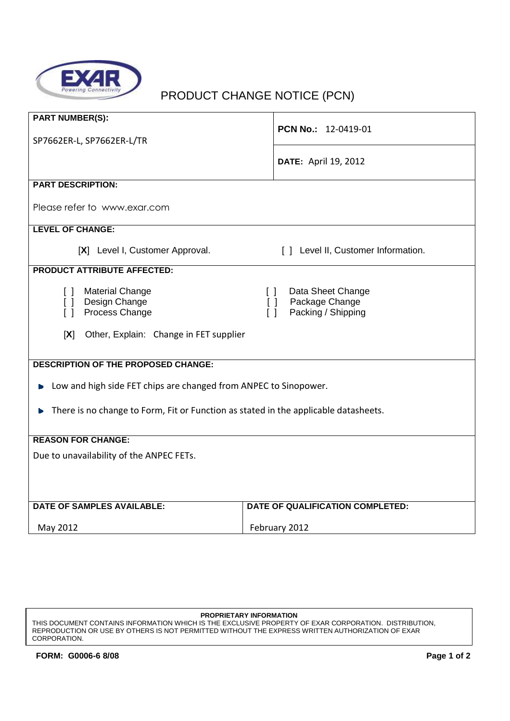

## PRODUCT CHANGE NOTICE (PCN)

| <b>PART NUMBER(S):</b>                                                              |                                                                                         |
|-------------------------------------------------------------------------------------|-----------------------------------------------------------------------------------------|
| SP7662ER-L, SP7662ER-L/TR                                                           | PCN No.: 12-0419-01                                                                     |
|                                                                                     | <b>DATE: April 19, 2012</b>                                                             |
|                                                                                     |                                                                                         |
| <b>PART DESCRIPTION:</b>                                                            |                                                                                         |
| Please refer to www.exar.com                                                        |                                                                                         |
| <b>LEVEL OF CHANGE:</b>                                                             |                                                                                         |
| [X] Level I, Customer Approval.                                                     | [ ] Level II, Customer Information.                                                     |
| <b>PRODUCT ATTRIBUTE AFFECTED:</b>                                                  |                                                                                         |
| <b>Material Change</b><br>$\Box$<br>[ ] Design Change<br>Process Change<br>$\Box$   | Data Sheet Change<br>$\Box$<br>Package Change<br>$\Box$<br>Packing / Shipping<br>$\Box$ |
| [X]<br>Other, Explain: Change in FET supplier                                       |                                                                                         |
| <b>DESCRIPTION OF THE PROPOSED CHANGE:</b>                                          |                                                                                         |
| Low and high side FET chips are changed from ANPEC to Sinopower.                    |                                                                                         |
| There is no change to Form, Fit or Function as stated in the applicable datasheets. |                                                                                         |
| <b>REASON FOR CHANGE:</b>                                                           |                                                                                         |
| Due to unavailability of the ANPEC FETs.                                            |                                                                                         |
| <b>DATE OF SAMPLES AVAILABLE:</b>                                                   | DATE OF QUALIFICATION COMPLETED:                                                        |
| May 2012                                                                            | February 2012                                                                           |

## **PROPRIETARY INFORMATION**

THIS DOCUMENT CONTAINS INFORMATION WHICH IS THE EXCLUSIVE PROPERTY OF EXAR CORPORATION. DISTRIBUTION, REPRODUCTION OR USE BY OTHERS IS NOT PERMITTED WITHOUT THE EXPRESS WRITTEN AUTHORIZATION OF EXAR CORPORATION.